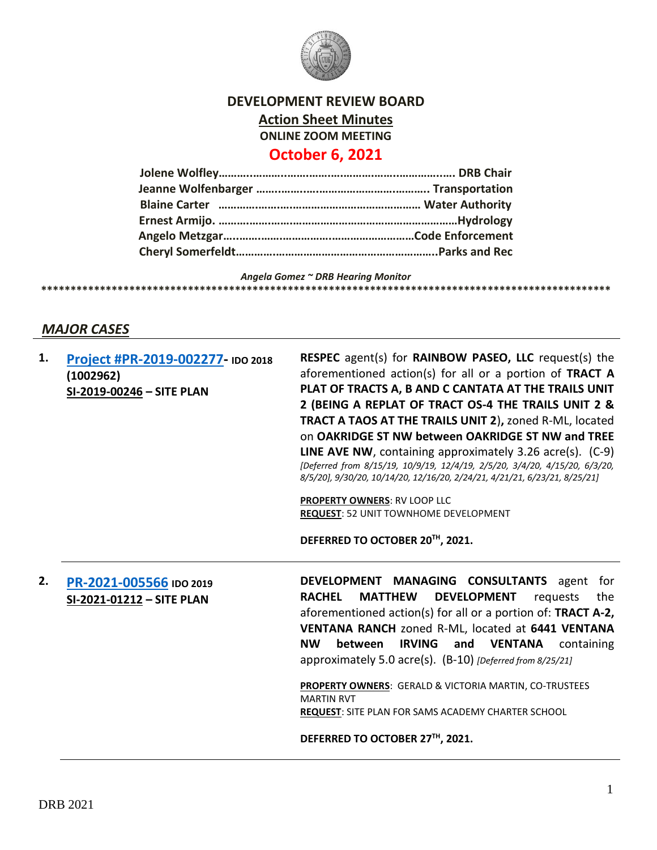

# **DEVELOPMENT REVIEW BOARD Action Sheet Minutes ONLINE ZOOM MEETING October 6, 2021**

## **Jolene Wolfley………..………..…….…….….……….……..…………..…. DRB Chair Jeanne Wolfenbarger ……..……..….…………………….……….. Transportation Blaine Carter ………….…….….…………………………………… Water Authority Ernest Armijo. ……….…….…….………………………………………………Hydrology Angelo Metzgar…..…….…….…………….………………………Code Enforcement Cheryl Somerfeldt………….……………………………………………..Parks and Rec**

*Angela Gomez ~ DRB Hearing Monitor* **\*\*\*\*\*\*\*\*\*\*\*\*\*\*\*\*\*\*\*\*\*\*\*\*\*\*\*\*\*\*\*\*\*\*\*\*\*\*\*\*\*\*\*\*\*\*\*\*\*\*\*\*\*\*\*\*\*\*\*\*\*\*\*\*\*\*\*\*\*\*\*\*\*\*\*\*\*\*\*\*\*\*\*\*\*\*\*\*\*\*\*\*\*\*\*\*\***

## *MAJOR CASES*

| 1. | Project #PR-2019-002277- IDO 2018<br>(1002962)<br>SI-2019-00246 - SITE PLAN | <b>RESPEC</b> agent(s) for <b>RAINBOW PASEO, LLC</b> request(s) the<br>aforementioned action(s) for all or a portion of TRACT A<br>PLAT OF TRACTS A, B AND C CANTATA AT THE TRAILS UNIT<br>2 (BEING A REPLAT OF TRACT OS-4 THE TRAILS UNIT 2 &<br><b>TRACT A TAOS AT THE TRAILS UNIT 2), zoned R-ML, located</b><br>on OAKRIDGE ST NW between OAKRIDGE ST NW and TREE<br><b>LINE AVE NW, containing approximately 3.26 acre(s).</b> $(C-9)$<br>[Deferred from 8/15/19, 10/9/19, 12/4/19, 2/5/20, 3/4/20, 4/15/20, 6/3/20,<br>8/5/20], 9/30/20, 10/14/20, 12/16/20, 2/24/21, 4/21/21, 6/23/21, 8/25/21] |
|----|-----------------------------------------------------------------------------|--------------------------------------------------------------------------------------------------------------------------------------------------------------------------------------------------------------------------------------------------------------------------------------------------------------------------------------------------------------------------------------------------------------------------------------------------------------------------------------------------------------------------------------------------------------------------------------------------------|
|    |                                                                             | <b>PROPERTY OWNERS: RV LOOP LLC</b><br><b>REQUEST: 52 UNIT TOWNHOME DEVELOPMENT</b><br>DEFERRED TO OCTOBER 20TH, 2021.                                                                                                                                                                                                                                                                                                                                                                                                                                                                                 |
| 2. | PR-2021-005566 IDO 2019<br>SI-2021-01212 - SITE PLAN                        | <b>DEVELOPMENT MANAGING CONSULTANTS</b> agent for<br><b>DEVELOPMENT</b><br><b>RACHEL</b><br><b>MATTHEW</b><br>requests<br>the<br>aforementioned action(s) for all or a portion of: TRACT A-2,<br>VENTANA RANCH zoned R-ML, located at 6441 VENTANA<br><b>NW</b><br>between IRVING<br>and VENTANA<br>containing<br>approximately 5.0 acre(s). (B-10) [Deferred from 8/25/21]<br>PROPERTY OWNERS: GERALD & VICTORIA MARTIN, CO-TRUSTEES<br><b>MARTIN RVT</b><br><b>REQUEST: SITE PLAN FOR SAMS ACADEMY CHARTER SCHOOL</b><br>DEFERRED TO OCTOBER 27TH, 2021.                                             |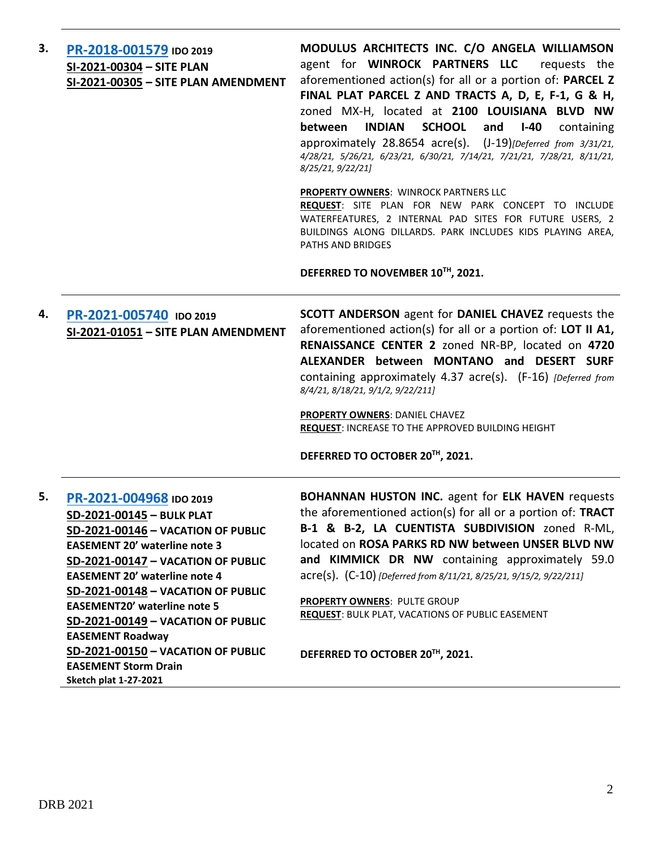| 3. | PR-2018-001579 IDO 2019<br>SI-2021-00304 - SITE PLAN<br>SI-2021-00305 - SITE PLAN AMENDMENT                                                                                                                                                                                                                                                                                                                                                                         | MODULUS ARCHITECTS INC. C/O ANGELA WILLIAMSON<br>agent for <b>WINROCK PARTNERS LLC</b> requests the<br>aforementioned action(s) for all or a portion of: PARCEL Z<br>FINAL PLAT PARCEL Z AND TRACTS A, D, E, F-1, G & H,<br>zoned MX-H, located at 2100 LOUISIANA BLVD NW<br><b>INDIAN</b><br><b>SCHOOL</b><br>and<br>$I-40$<br>between<br>containing<br>approximately 28.8654 acre(s). (J-19) [Deferred from 3/31/21,<br>4/28/21, 5/26/21, 6/23/21, 6/30/21, 7/14/21, 7/21/21, 7/28/21, 8/11/21,<br>8/25/21, 9/22/21]<br><b>PROPERTY OWNERS: WINROCK PARTNERS LLC</b><br>REQUEST: SITE PLAN FOR NEW PARK CONCEPT TO INCLUDE<br>WATERFEATURES, 2 INTERNAL PAD SITES FOR FUTURE USERS, 2<br>BUILDINGS ALONG DILLARDS. PARK INCLUDES KIDS PLAYING AREA,<br>PATHS AND BRIDGES |
|----|---------------------------------------------------------------------------------------------------------------------------------------------------------------------------------------------------------------------------------------------------------------------------------------------------------------------------------------------------------------------------------------------------------------------------------------------------------------------|----------------------------------------------------------------------------------------------------------------------------------------------------------------------------------------------------------------------------------------------------------------------------------------------------------------------------------------------------------------------------------------------------------------------------------------------------------------------------------------------------------------------------------------------------------------------------------------------------------------------------------------------------------------------------------------------------------------------------------------------------------------------------|
| 4. | PR-2021-005740 IDO 2019<br>SI-2021-01051 - SITE PLAN AMENDMENT                                                                                                                                                                                                                                                                                                                                                                                                      | DEFERRED TO NOVEMBER 10TH, 2021.<br><b>SCOTT ANDERSON</b> agent for <b>DANIEL CHAVEZ</b> requests the<br>aforementioned action(s) for all or a portion of: LOT II A1,<br>RENAISSANCE CENTER 2 zoned NR-BP, located on 4720<br>ALEXANDER between MONTANO and DESERT SURF<br>containing approximately 4.37 acre(s). (F-16) [Deferred from<br>8/4/21, 8/18/21, 9/1/2, 9/22/211]<br><b>PROPERTY OWNERS: DANIEL CHAVEZ</b><br>REQUEST: INCREASE TO THE APPROVED BUILDING HEIGHT<br>DEFERRED TO OCTOBER 20TH, 2021.                                                                                                                                                                                                                                                              |
| 5. | PR-2021-004968 IDO 2019<br>SD-2021-00145 - BULK PLAT<br>SD-2021-00146 - VACATION OF PUBLIC<br><b>EASEMENT 20' waterline note 3</b><br>SD-2021-00147 - VACATION OF PUBLIC<br><b>EASEMENT 20' waterline note 4</b><br>SD-2021-00148 - VACATION OF PUBLIC<br><b>EASEMENT20' waterline note 5</b><br>SD-2021-00149 - VACATION OF PUBLIC<br><b>EASEMENT Roadway</b><br>SD-2021-00150 - VACATION OF PUBLIC<br><b>EASEMENT Storm Drain</b><br><b>Sketch plat 1-27-2021</b> | <b>BOHANNAN HUSTON INC.</b> agent for ELK HAVEN requests<br>the aforementioned action(s) for all or a portion of: TRACT<br>B-1 & B-2, LA CUENTISTA SUBDIVISION zoned R-ML,<br>located on ROSA PARKS RD NW between UNSER BLVD NW<br>and KIMMICK DR NW containing approximately 59.0<br>$\text{acre}(s)$ . $(C-10)$ [Deferred from 8/11/21, 8/25/21, 9/15/2, 9/22/211]<br>PROPERTY OWNERS: PULTE GROUP<br>REQUEST: BULK PLAT, VACATIONS OF PUBLIC EASEMENT<br>DEFERRED TO OCTOBER 20TH, 2021.                                                                                                                                                                                                                                                                                |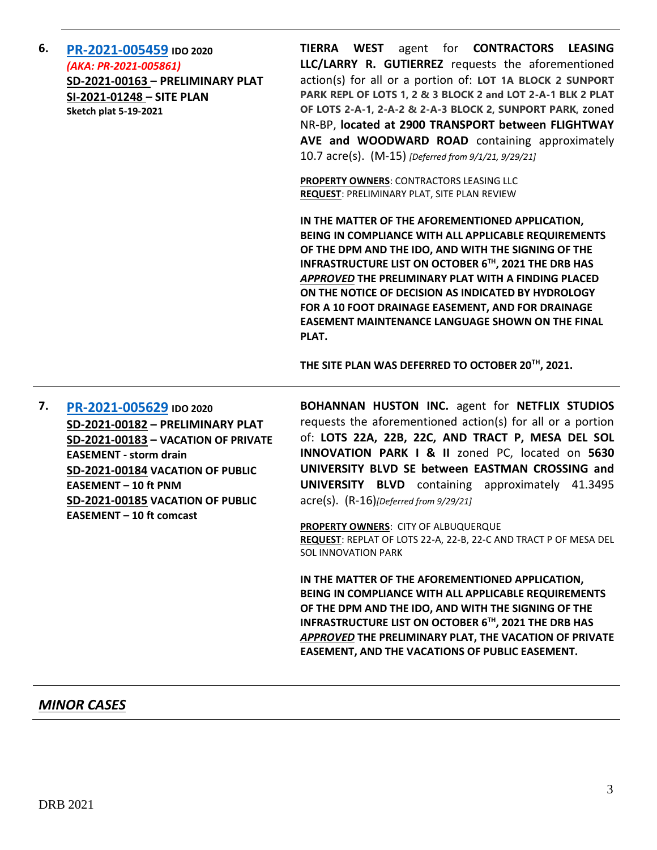**6. [PR-2021-005459](http://data.cabq.gov/government/planning/DRB/PR-2021-005459/DRB%20Submittals/) IDO 2020** *(AKA: PR-2021-005861)* **SD-2021-00163 – PRELIMINARY PLAT SI-2021-01248 – SITE PLAN Sketch plat 5-19-2021**

**TIERRA WEST** agent for **CONTRACTORS LEASING LLC/LARRY R. GUTIERREZ** requests the aforementioned action(s) for all or a portion of: **LOT 1A BLOCK 2 SUNPORT PARK REPL OF LOTS 1, 2 & 3 BLOCK 2 and LOT 2-A-1 BLK 2 PLAT OF LOTS 2-A-1, 2-A-2 & 2-A-3 BLOCK 2, SUNPORT PARK,** zoned NR-BP, **located at 2900 TRANSPORT between FLIGHTWAY AVE and WOODWARD ROAD** containing approximately 10.7 acre(s). (M-15) *[Deferred from 9/1/21, 9/29/21]*

**PROPERTY OWNERS**: CONTRACTORS LEASING LLC **REQUEST**: PRELIMINARY PLAT, SITE PLAN REVIEW

**IN THE MATTER OF THE AFOREMENTIONED APPLICATION, BEING IN COMPLIANCE WITH ALL APPLICABLE REQUIREMENTS OF THE DPM AND THE IDO, AND WITH THE SIGNING OF THE INFRASTRUCTURE LIST ON OCTOBER 6TH, 2021 THE DRB HAS**  *APPROVED* **THE PRELIMINARY PLAT WITH A FINDING PLACED ON THE NOTICE OF DECISION AS INDICATED BY HYDROLOGY FOR A 10 FOOT DRAINAGE EASEMENT, AND FOR DRAINAGE EASEMENT MAINTENANCE LANGUAGE SHOWN ON THE FINAL PLAT.**

**THE SITE PLAN WAS DEFERRED TO OCTOBER 20TH, 2021.**

**7. [PR-2021-005629](http://data.cabq.gov/government/planning/DRB/PR-2021-005629/DRB%20Submittals/) IDO 2020 SD-2021-00182 – PRELIMINARY PLAT SD-2021-00183 – VACATION OF PRIVATE EASEMENT - storm drain SD-2021-00184 VACATION OF PUBLIC EASEMENT – 10 ft PNM SD-2021-00185 VACATION OF PUBLIC EASEMENT – 10 ft comcast** 

**BOHANNAN HUSTON INC.** agent for **NETFLIX STUDIOS** requests the aforementioned action(s) for all or a portion of: **LOTS 22A, 22B, 22C, AND TRACT P, MESA DEL SOL INNOVATION PARK I & II** zoned PC, located on **5630 UNIVERSITY BLVD SE between EASTMAN CROSSING and UNIVERSITY BLVD** containing approximately 41.3495 acre(s). (R-16)*[Deferred from 9/29/21]*

**PROPERTY OWNERS**: CITY OF ALBUQUERQUE **REQUEST**: REPLAT OF LOTS 22-A, 22-B, 22-C AND TRACT P OF MESA DEL SOL INNOVATION PARK

**IN THE MATTER OF THE AFOREMENTIONED APPLICATION, BEING IN COMPLIANCE WITH ALL APPLICABLE REQUIREMENTS OF THE DPM AND THE IDO, AND WITH THE SIGNING OF THE INFRASTRUCTURE LIST ON OCTOBER 6TH, 2021 THE DRB HAS**  *APPROVED* **THE PRELIMINARY PLAT, THE VACATION OF PRIVATE EASEMENT, AND THE VACATIONS OF PUBLIC EASEMENT.**

### *MINOR CASES*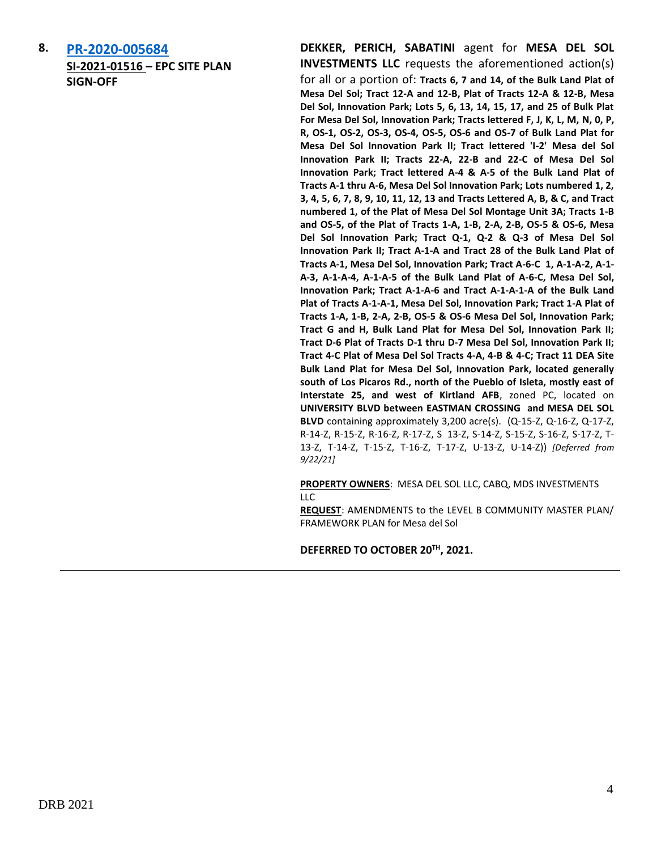**8. [PR-2020-005684](http://data.cabq.gov/government/planning/DRB/PR-2020-005684/DRB%20Submittals/PR-2020-005684_Sept_22_2021/Application/MdS%20Level%20B%20Amend%20-%20DRB%20%20Submittal%209.14.2021___.pdf) SI-2021-01516 – EPC SITE PLAN SIGN-OFF**

**DEKKER, PERICH, SABATINI** agent for **MESA DEL SOL INVESTMENTS LLC** requests the aforementioned action(s) for all or a portion of: **Tracts 6, 7 and 14, of the Bulk Land Plat of Mesa Del Sol; Tract 12-A and 12-B, Plat of Tracts 12-A & 12-B, Mesa Del Sol, Innovation Park; Lots 5, 6, 13, 14, 15, 17, and 25 of Bulk Plat For Mesa Del Sol, Innovation Park; Tracts lettered F, J, K, L, M, N, 0, P, R, OS-1, OS-2, OS-3, OS-4, OS-5, OS-6 and OS-7 of Bulk Land Plat for Mesa Del Sol Innovation Park II; Tract lettered 'I-2' Mesa del Sol Innovation Park II; Tracts 22-A, 22-B and 22-C of Mesa Del Sol Innovation Park; Tract lettered A-4 & A-5 of the Bulk Land Plat of Tracts A-1 thru A-6, Mesa Del Sol Innovation Park; Lots numbered 1, 2, 3, 4, 5, 6, 7, 8, 9, 10, 11, 12, 13 and Tracts Lettered A, B, & C, and Tract numbered 1, of the Plat of Mesa Del Sol Montage Unit 3A; Tracts 1-B and OS-5, of the Plat of Tracts 1-A, 1-B, 2-A, 2-B, OS-5 & OS-6, Mesa Del Sol Innovation Park; Tract Q-1, Q-2 & Q-3 of Mesa Del Sol Innovation Park II; Tract A-1-A and Tract 28 of the Bulk Land Plat of Tracts A-1, Mesa Del Sol, Innovation Park; Tract A-6-C 1, A-1-A-2, A-1- A-3, A-1-A-4, A-1-A-5 of the Bulk Land Plat of A-6-C, Mesa Del Sol, Innovation Park; Tract A-1-A-6 and Tract A-1-A-1-A of the Bulk Land Plat of Tracts A-1-A-1, Mesa Del Sol, Innovation Park; Tract 1-A Plat of Tracts 1-A, 1-B, 2-A, 2-B, OS-5 & OS-6 Mesa Del Sol, Innovation Park; Tract G and H, Bulk Land Plat for Mesa Del Sol, Innovation Park II; Tract D-6 Plat of Tracts D-1 thru D-7 Mesa Del Sol, Innovation Park II; Tract 4-C Plat of Mesa Del Sol Tracts 4-A, 4-B & 4-C; Tract 11 DEA Site Bulk Land Plat for Mesa Del Sol, Innovation Park, located generally south of Los Picaros Rd., north of the Pueblo of Isleta, mostly east of Interstate 25, and west of Kirtland AFB**, zoned PC, located on **UNIVERSITY BLVD between EASTMAN CROSSING and MESA DEL SOL BLVD** containing approximately 3,200 acre(s). (Q-15-Z, Q-16-Z, Q-17-Z, R-14-Z, R-15-Z, R-16-Z, R-17-Z, S 13-Z, S-14-Z, S-15-Z, S-16-Z, S-17-Z, T-13-Z, T-14-Z, T-15-Z, T-16-Z, T-17-Z, U-13-Z, U-14-Z)) *[Deferred from 9/22/21]*

**PROPERTY OWNERS**: MESA DEL SOL LLC, CABQ, MDS INVESTMENTS  $\sqcup$  C

**REQUEST**: AMENDMENTS to the LEVEL B COMMUNITY MASTER PLAN/ FRAMEWORK PLAN for Mesa del Sol

**DEFERRED TO OCTOBER 20TH, 2021.**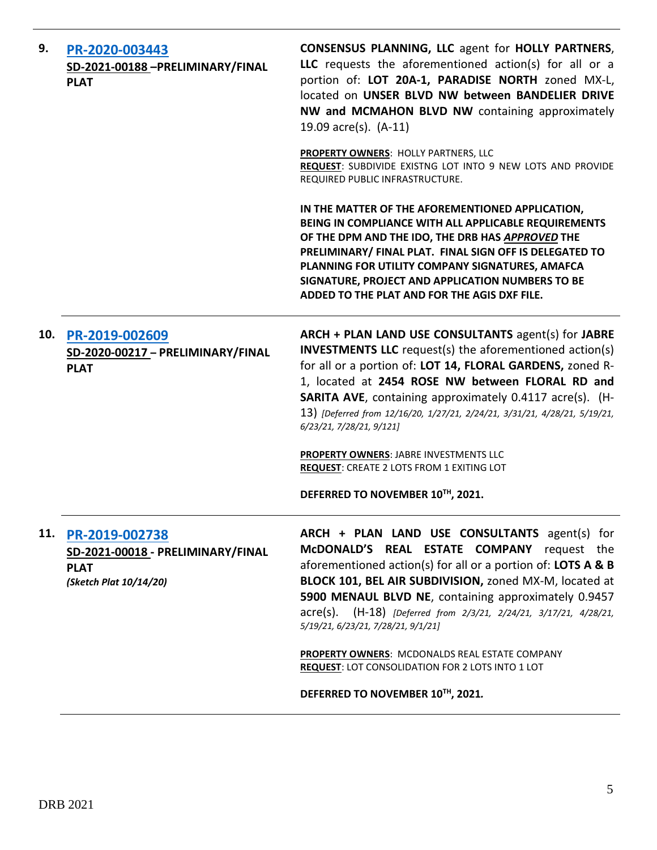| 9.  | PR-2020-003443<br>SD-2021-00188-PRELIMINARY/FINAL<br><b>PLAT</b>                             | <b>CONSENSUS PLANNING, LLC agent for HOLLY PARTNERS,</b><br>LLC requests the aforementioned action(s) for all or a<br>portion of: LOT 20A-1, PARADISE NORTH zoned MX-L,<br>located on UNSER BLVD NW between BANDELIER DRIVE<br>NW and MCMAHON BLVD NW containing approximately<br>19.09 acre(s). (A-11)                                                                                                            |
|-----|----------------------------------------------------------------------------------------------|--------------------------------------------------------------------------------------------------------------------------------------------------------------------------------------------------------------------------------------------------------------------------------------------------------------------------------------------------------------------------------------------------------------------|
|     |                                                                                              | PROPERTY OWNERS: HOLLY PARTNERS, LLC<br>REQUEST: SUBDIVIDE EXISTNG LOT INTO 9 NEW LOTS AND PROVIDE<br>REQUIRED PUBLIC INFRASTRUCTURE.                                                                                                                                                                                                                                                                              |
|     |                                                                                              | IN THE MATTER OF THE AFOREMENTIONED APPLICATION,<br>BEING IN COMPLIANCE WITH ALL APPLICABLE REQUIREMENTS<br>OF THE DPM AND THE IDO, THE DRB HAS APPROVED THE<br>PRELIMINARY/ FINAL PLAT. FINAL SIGN OFF IS DELEGATED TO<br>PLANNING FOR UTILITY COMPANY SIGNATURES, AMAFCA<br>SIGNATURE, PROJECT AND APPLICATION NUMBERS TO BE<br>ADDED TO THE PLAT AND FOR THE AGIS DXF FILE.                                     |
| 10. | PR-2019-002609<br>SD-2020-00217 - PRELIMINARY/FINAL<br><b>PLAT</b>                           | ARCH + PLAN LAND USE CONSULTANTS agent(s) for JABRE<br><b>INVESTMENTS LLC</b> request(s) the aforementioned action(s)<br>for all or a portion of: LOT 14, FLORAL GARDENS, zoned R-<br>1, located at 2454 ROSE NW between FLORAL RD and<br><b>SARITA AVE, containing approximately 0.4117 acre(s). (H-</b><br>13) [Deferred from 12/16/20, 1/27/21, 2/24/21, 3/31/21, 4/28/21, 5/19/21,<br>6/23/21, 7/28/21, 9/121] |
|     |                                                                                              | PROPERTY OWNERS: JABRE INVESTMENTS LLC<br><b>REQUEST: CREATE 2 LOTS FROM 1 EXITING LOT</b>                                                                                                                                                                                                                                                                                                                         |
|     |                                                                                              | DEFERRED TO NOVEMBER 10TH, 2021.                                                                                                                                                                                                                                                                                                                                                                                   |
| 11. | PR-2019-002738<br>SD-2021-00018 - PRELIMINARY/FINAL<br><b>PLAT</b><br>(Sketch Plat 10/14/20) | ARCH + PLAN LAND USE CONSULTANTS agent(s) for<br>McDONALD'S REAL ESTATE COMPANY request the<br>aforementioned action(s) for all or a portion of: LOTS A & B<br>BLOCK 101, BEL AIR SUBDIVISION, zoned MX-M, located at<br>5900 MENAUL BLVD NE, containing approximately 0.9457<br>acre(s). (H-18) [Deferred from 2/3/21, 2/24/21, 3/17/21, 4/28/21,<br>5/19/21, 6/23/21, 7/28/21, 9/1/21]                           |
|     |                                                                                              | PROPERTY OWNERS: MCDONALDS REAL ESTATE COMPANY<br><b>REQUEST: LOT CONSOLIDATION FOR 2 LOTS INTO 1 LOT</b>                                                                                                                                                                                                                                                                                                          |
|     |                                                                                              | DEFERRED TO NOVEMBER 10TH, 2021.                                                                                                                                                                                                                                                                                                                                                                                   |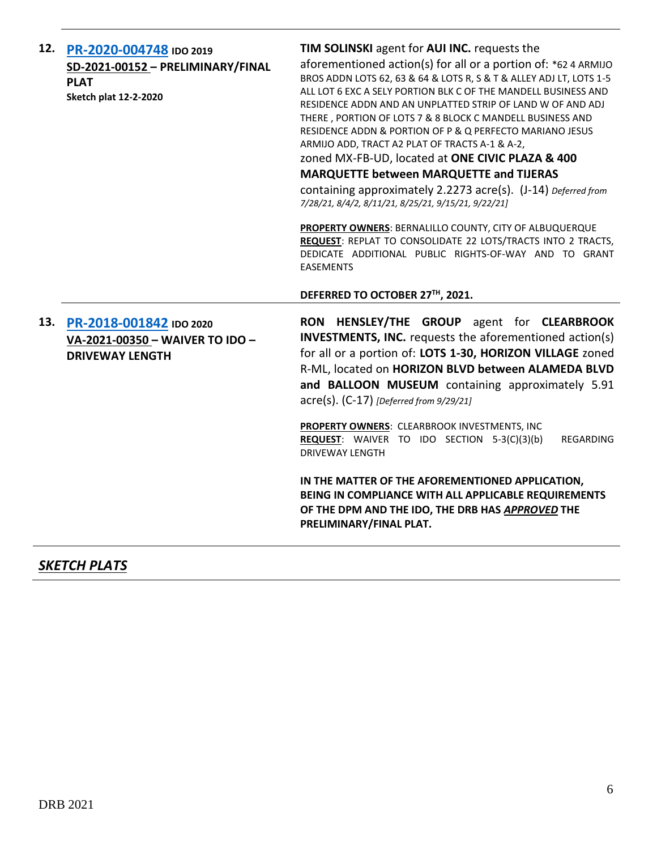| 12. | PR-2020-004748 IDO 2019<br>SD-2021-00152 - PRELIMINARY/FINAL<br><b>PLAT</b><br><b>Sketch plat 12-2-2020</b> | TIM SOLINSKI agent for AUI INC. requests the<br>aforementioned action(s) for all or a portion of: *62 4 ARMIJO<br>BROS ADDN LOTS 62, 63 & 64 & LOTS R, S & T & ALLEY ADJ LT, LOTS 1-5<br>ALL LOT 6 EXC A SELY PORTION BLK C OF THE MANDELL BUSINESS AND<br>RESIDENCE ADDN AND AN UNPLATTED STRIP OF LAND W OF AND ADJ<br>THERE, PORTION OF LOTS 7 & 8 BLOCK C MANDELL BUSINESS AND<br>RESIDENCE ADDN & PORTION OF P & Q PERFECTO MARIANO JESUS<br>ARMIJO ADD, TRACT A2 PLAT OF TRACTS A-1 & A-2,<br>zoned MX-FB-UD, located at ONE CIVIC PLAZA & 400<br><b>MARQUETTE between MARQUETTE and TIJERAS</b><br>containing approximately 2.2273 acre(s). (J-14) Deferred from<br>7/28/21, 8/4/2, 8/11/21, 8/25/21, 9/15/21, 9/22/21]<br><b>PROPERTY OWNERS: BERNALILLO COUNTY, CITY OF ALBUQUERQUE</b><br>REQUEST: REPLAT TO CONSOLIDATE 22 LOTS/TRACTS INTO 2 TRACTS,<br>DEDICATE ADDITIONAL PUBLIC RIGHTS-OF-WAY AND TO GRANT<br><b>EASEMENTS</b><br>DEFERRED TO OCTOBER 27TH, 2021. |
|-----|-------------------------------------------------------------------------------------------------------------|----------------------------------------------------------------------------------------------------------------------------------------------------------------------------------------------------------------------------------------------------------------------------------------------------------------------------------------------------------------------------------------------------------------------------------------------------------------------------------------------------------------------------------------------------------------------------------------------------------------------------------------------------------------------------------------------------------------------------------------------------------------------------------------------------------------------------------------------------------------------------------------------------------------------------------------------------------------------------------|
| 13. | PR-2018-001842 IDO 2020<br>VA-2021-00350 - WAIVER TO IDO -<br><b>DRIVEWAY LENGTH</b>                        | RON HENSLEY/THE GROUP agent for CLEARBROOK<br><b>INVESTMENTS, INC.</b> requests the aforementioned action(s)<br>for all or a portion of: LOTS 1-30, HORIZON VILLAGE zoned<br>R-ML, located on HORIZON BLVD between ALAMEDA BLVD<br>and BALLOON MUSEUM containing approximately 5.91<br>$\text{acre}(s)$ . (C-17) [Deferred from 9/29/21]<br>PROPERTY OWNERS: CLEARBROOK INVESTMENTS, INC<br><b>REQUEST:</b> WAIVER TO IDO SECTION 5-3(C)(3)(b)<br>REGARDING<br><b>DRIVEWAY LENGTH</b><br>IN THE MATTER OF THE AFOREMENTIONED APPLICATION,<br>BEING IN COMPLIANCE WITH ALL APPLICABLE REQUIREMENTS<br>OF THE DPM AND THE IDO, THE DRB HAS APPROVED THE<br>PRELIMINARY/FINAL PLAT.                                                                                                                                                                                                                                                                                                 |

## *SKETCH PLATS*